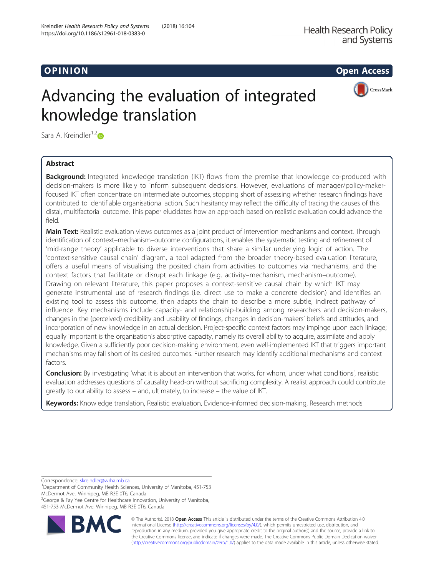# O PINION Open Access

# CrossMark

# Advancing the evaluation of integrated knowledge translation

Sara A. Kreindler<sup>1,2</sup><sub>0</sub>

# Abstract

**Background:** Integrated knowledge translation (IKT) flows from the premise that knowledge co-produced with decision-makers is more likely to inform subsequent decisions. However, evaluations of manager/policy-makerfocused IKT often concentrate on intermediate outcomes, stopping short of assessing whether research findings have contributed to identifiable organisational action. Such hesitancy may reflect the difficulty of tracing the causes of this distal, multifactorial outcome. This paper elucidates how an approach based on realistic evaluation could advance the field.

Main Text: Realistic evaluation views outcomes as a joint product of intervention mechanisms and context. Through identification of context–mechanism–outcome configurations, it enables the systematic testing and refinement of 'mid-range theory' applicable to diverse interventions that share a similar underlying logic of action. The 'context-sensitive causal chain' diagram, a tool adapted from the broader theory-based evaluation literature, offers a useful means of visualising the posited chain from activities to outcomes via mechanisms, and the context factors that facilitate or disrupt each linkage (e.g. activity–mechanism, mechanism–outcome). Drawing on relevant literature, this paper proposes a context-sensitive causal chain by which IKT may generate instrumental use of research findings (i.e. direct use to make a concrete decision) and identifies an existing tool to assess this outcome, then adapts the chain to describe a more subtle, indirect pathway of influence. Key mechanisms include capacity- and relationship-building among researchers and decision-makers, changes in the (perceived) credibility and usability of findings, changes in decision-makers' beliefs and attitudes, and incorporation of new knowledge in an actual decision. Project-specific context factors may impinge upon each linkage; equally important is the organisation's absorptive capacity, namely its overall ability to acquire, assimilate and apply knowledge. Given a sufficiently poor decision-making environment, even well-implemented IKT that triggers important mechanisms may fall short of its desired outcomes. Further research may identify additional mechanisms and context factors.

Conclusion: By investigating 'what it is about an intervention that works, for whom, under what conditions', realistic evaluation addresses questions of causality head-on without sacrificing complexity. A realist approach could contribute greatly to our ability to assess – and, ultimately, to increase – the value of IKT.

Keywords: Knowledge translation, Realistic evaluation, Evidence-informed decision-making, Research methods

Correspondence: [skreindler@wrha.mb.ca](mailto:skreindler@wrha.mb.ca) <sup>1</sup>

<sup>2</sup>George & Fay Yee Centre for Healthcare Innovation, University of Manitoba, 451-753 McDermot Ave, Winnipeg, MB R3E 0T6, Canada



© The Author(s). 2018 Open Access This article is distributed under the terms of the Creative Commons Attribution 4.0 International License [\(http://creativecommons.org/licenses/by/4.0/](http://creativecommons.org/licenses/by/4.0/)), which permits unrestricted use, distribution, and reproduction in any medium, provided you give appropriate credit to the original author(s) and the source, provide a link to the Creative Commons license, and indicate if changes were made. The Creative Commons Public Domain Dedication waiver [\(http://creativecommons.org/publicdomain/zero/1.0/](http://creativecommons.org/publicdomain/zero/1.0/)) applies to the data made available in this article, unless otherwise stated.

<sup>&</sup>lt;sup>1</sup>Department of Community Health Sciences, University of Manitoba, 451-753 McDermot Ave., Winnipeg, MB R3E 0T6, Canada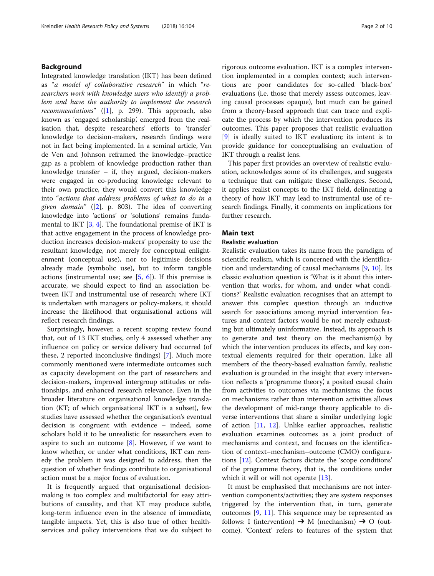# Background

Integrated knowledge translation (IKT) has been defined as "a model of collaborative research" in which "researchers work with knowledge users who identify a problem and have the authority to implement the research *recommendations*" ( $\begin{bmatrix} 1 \\ 2 \end{bmatrix}$ , p. 299). This approach, also known as 'engaged scholarship', emerged from the realisation that, despite researchers' efforts to 'transfer' knowledge to decision-makers, research findings were not in fact being implemented. In a seminal article, Van de Ven and Johnson reframed the knowledge–practice gap as a problem of knowledge production rather than knowledge transfer – if, they argued, decision-makers were engaged in co-producing knowledge relevant to their own practice, they would convert this knowledge into "actions that address problems of what to do in a given domain"  $(2)$ , p. 803). The idea of converting knowledge into 'actions' or 'solutions' remains fundamental to IKT [[3,](#page-9-0) [4\]](#page-9-0). The foundational premise of IKT is that active engagement in the process of knowledge production increases decision-makers' propensity to use the resultant knowledge, not merely for conceptual enlightenment (conceptual use), nor to legitimise decisions already made (symbolic use), but to inform tangible actions (instrumental use; see [\[5](#page-9-0), [6](#page-9-0)]). If this premise is accurate, we should expect to find an association between IKT and instrumental use of research; where IKT is undertaken with managers or policy-makers, it should increase the likelihood that organisational actions will reflect research findings.

Surprisingly, however, a recent scoping review found that, out of 13 IKT studies, only 4 assessed whether any influence on policy or service delivery had occurred (of these, 2 reported inconclusive findings) [\[7](#page-9-0)]. Much more commonly mentioned were intermediate outcomes such as capacity development on the part of researchers and decision-makers, improved intergroup attitudes or relationships, and enhanced research relevance. Even in the broader literature on organisational knowledge translation (KT; of which organisational IKT is a subset), few studies have assessed whether the organisation's eventual decision is congruent with evidence – indeed, some scholars hold it to be unrealistic for researchers even to aspire to such an outcome  $[8]$ . However, if we want to know whether, or under what conditions, IKT can remedy the problem it was designed to address, then the question of whether findings contribute to organisational action must be a major focus of evaluation.

It is frequently argued that organisational decisionmaking is too complex and multifactorial for easy attributions of causality, and that KT may produce subtle, long-term influence even in the absence of immediate, tangible impacts. Yet, this is also true of other healthservices and policy interventions that we do subject to

rigorous outcome evaluation. IKT is a complex intervention implemented in a complex context; such interventions are poor candidates for so-called 'black-box' evaluations (i.e. those that merely assess outcomes, leaving causal processes opaque), but much can be gained from a theory-based approach that can trace and explicate the process by which the intervention produces its outcomes. This paper proposes that realistic evaluation [[9\]](#page-9-0) is ideally suited to IKT evaluation; its intent is to provide guidance for conceptualising an evaluation of IKT through a realist lens.

This paper first provides an overview of realistic evaluation, acknowledges some of its challenges, and suggests a technique that can mitigate these challenges. Second, it applies realist concepts to the IKT field, delineating a theory of how IKT may lead to instrumental use of research findings. Finally, it comments on implications for further research.

# Main text

# Realistic evaluation

Realistic evaluation takes its name from the paradigm of scientific realism, which is concerned with the identification and understanding of causal mechanisms  $[9, 10]$  $[9, 10]$  $[9, 10]$  $[9, 10]$ . Its classic evaluation question is 'What is it about this intervention that works, for whom, and under what conditions?' Realistic evaluation recognises that an attempt to answer this complex question through an inductive search for associations among myriad intervention features and context factors would be not merely exhausting but ultimately uninformative. Instead, its approach is to generate and test theory on the mechanism(s) by which the intervention produces its effects, and key contextual elements required for their operation. Like all members of the theory-based evaluation family, realistic evaluation is grounded in the insight that every intervention reflects a 'programme theory', a posited causal chain from activities to outcomes via mechanisms; the focus on mechanisms rather than intervention activities allows the development of mid-range theory applicable to diverse interventions that share a similar underlying logic of action [[11,](#page-9-0) [12](#page-9-0)]. Unlike earlier approaches, realistic evaluation examines outcomes as a joint product of mechanisms and context, and focuses on the identification of context–mechanism–outcome (CMO) configurations [[12](#page-9-0)]. Context factors dictate the 'scope conditions' of the programme theory, that is, the conditions under which it will or will not operate [[13](#page-9-0)].

It must be emphasised that mechanisms are not intervention components/activities; they are system responses triggered by the intervention that, in turn, generate outcomes [\[9](#page-9-0), [11](#page-9-0)]. This sequence may be represented as follows: I (intervention)  $\rightarrow M$  (mechanism)  $\rightarrow O$  (outcome). 'Context' refers to features of the system that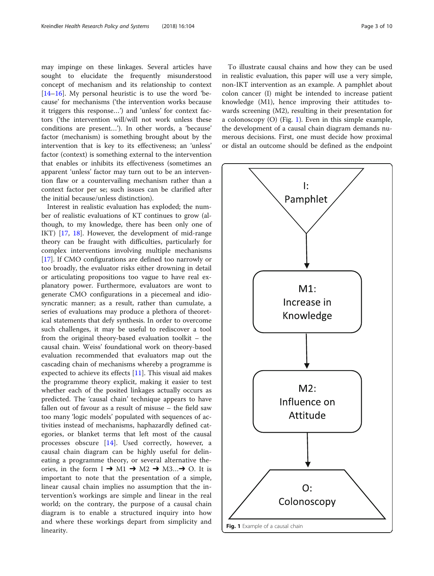<span id="page-2-0"></span>may impinge on these linkages. Several articles have sought to elucidate the frequently misunderstood concept of mechanism and its relationship to context  $[14–16]$  $[14–16]$  $[14–16]$  $[14–16]$  $[14–16]$ . My personal heuristic is to use the word 'because' for mechanisms ('the intervention works because it triggers this response…') and 'unless' for context factors ('the intervention will/will not work unless these conditions are present…'). In other words, a 'because' factor (mechanism) is something brought about by the intervention that is key to its effectiveness; an 'unless' factor (context) is something external to the intervention that enables or inhibits its effectiveness (sometimes an apparent 'unless' factor may turn out to be an intervention flaw or a countervailing mechanism rather than a context factor per se; such issues can be clarified after the initial because/unless distinction).

Interest in realistic evaluation has exploded; the number of realistic evaluations of KT continues to grow (although, to my knowledge, there has been only one of IKT) [[17,](#page-9-0) [18\]](#page-9-0). However, the development of mid-range theory can be fraught with difficulties, particularly for complex interventions involving multiple mechanisms [[17\]](#page-9-0). If CMO configurations are defined too narrowly or too broadly, the evaluator risks either drowning in detail or articulating propositions too vague to have real explanatory power. Furthermore, evaluators are wont to generate CMO configurations in a piecemeal and idiosyncratic manner; as a result, rather than cumulate, a series of evaluations may produce a plethora of theoretical statements that defy synthesis. In order to overcome such challenges, it may be useful to rediscover a tool from the original theory-based evaluation toolkit – the causal chain. Weiss' foundational work on theory-based evaluation recommended that evaluators map out the cascading chain of mechanisms whereby a programme is expected to achieve its effects [[11](#page-9-0)]. This visual aid makes the programme theory explicit, making it easier to test whether each of the posited linkages actually occurs as predicted. The 'causal chain' technique appears to have fallen out of favour as a result of misuse – the field saw too many 'logic models' populated with sequences of activities instead of mechanisms, haphazardly defined categories, or blanket terms that left most of the causal processes obscure [[14\]](#page-9-0). Used correctly, however, a causal chain diagram can be highly useful for delineating a programme theory, or several alternative theories, in the form  $I \rightarrow M1 \rightarrow M2 \rightarrow M3... \rightarrow O$ . It is important to note that the presentation of a simple, linear causal chain implies no assumption that the intervention's workings are simple and linear in the real world; on the contrary, the purpose of a causal chain diagram is to enable a structured inquiry into how and where these workings depart from simplicity and linearity.

To illustrate causal chains and how they can be used in realistic evaluation, this paper will use a very simple, non-IKT intervention as an example. A pamphlet about colon cancer (I) might be intended to increase patient knowledge (M1), hence improving their attitudes towards screening (M2), resulting in their presentation for a colonoscopy (O) (Fig. 1). Even in this simple example, the development of a causal chain diagram demands numerous decisions. First, one must decide how proximal or distal an outcome should be defined as the endpoint

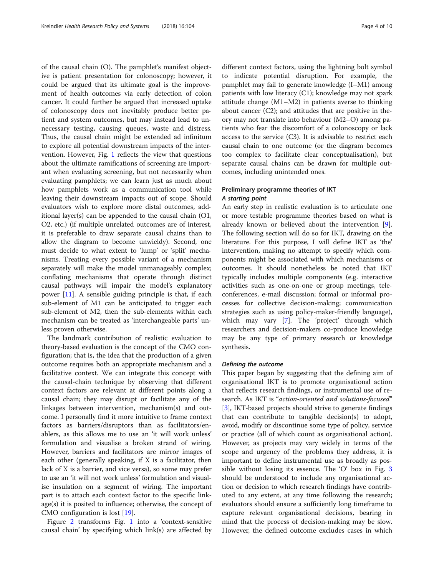of the causal chain (O). The pamphlet's manifest objective is patient presentation for colonoscopy; however, it could be argued that its ultimate goal is the improvement of health outcomes via early detection of colon cancer. It could further be argued that increased uptake of colonoscopy does not inevitably produce better patient and system outcomes, but may instead lead to unnecessary testing, causing queues, waste and distress. Thus, the causal chain might be extended ad infinitum to explore all potential downstream impacts of the intervention. However, Fig. [1](#page-2-0) reflects the view that questions about the ultimate ramifications of screening are important when evaluating screening, but not necessarily when evaluating pamphlets; we can learn just as much about how pamphlets work as a communication tool while leaving their downstream impacts out of scope. Should evaluators wish to explore more distal outcomes, additional layer(s) can be appended to the causal chain (O1, O2, etc.) (if multiple unrelated outcomes are of interest, it is preferable to draw separate causal chains than to allow the diagram to become unwieldy). Second, one must decide to what extent to 'lump' or 'split' mechanisms. Treating every possible variant of a mechanism separately will make the model unmanageably complex; conflating mechanisms that operate through distinct causal pathways will impair the model's explanatory power [\[11\]](#page-9-0). A sensible guiding principle is that, if each sub-element of M1 can be anticipated to trigger each sub-element of M2, then the sub-elements within each mechanism can be treated as 'interchangeable parts' unless proven otherwise.

The landmark contribution of realistic evaluation to theory-based evaluation is the concept of the CMO configuration; that is, the idea that the production of a given outcome requires both an appropriate mechanism and a facilitative context. We can integrate this concept with the causal-chain technique by observing that different context factors are relevant at different points along a causal chain; they may disrupt or facilitate any of the linkages between intervention, mechanism(s) and outcome. I personally find it more intuitive to frame context factors as barriers/disruptors than as facilitators/enablers, as this allows me to use an 'it will work unless' formulation and visualise a broken strand of wiring. However, barriers and facilitators are mirror images of each other (generally speaking, if X is a facilitator, then lack of X is a barrier, and vice versa), so some may prefer to use an 'it will not work unless' formulation and visualise insulation on a segment of wiring. The important part is to attach each context factor to the specific linkage(s) it is posited to influence; otherwise, the concept of CMO configuration is lost [[19\]](#page-9-0).

Figure [2](#page-4-0) transforms Fig. [1](#page-2-0) into a 'context-sensitive causal chain' by specifying which link(s) are affected by

different context factors, using the lightning bolt symbol to indicate potential disruption. For example, the pamphlet may fail to generate knowledge (I–M1) among patients with low literacy (C1); knowledge may not spark attitude change (M1–M2) in patients averse to thinking about cancer (C2); and attitudes that are positive in theory may not translate into behaviour (M2–O) among patients who fear the discomfort of a colonoscopy or lack access to the service (C3). It is advisable to restrict each causal chain to one outcome (or the diagram becomes too complex to facilitate clear conceptualisation), but separate causal chains can be drawn for multiple outcomes, including unintended ones.

# Preliminary programme theories of IKT A starting point

An early step in realistic evaluation is to articulate one or more testable programme theories based on what is already known or believed about the intervention [\[9](#page-9-0)]. The following section will do so for IKT, drawing on the literature. For this purpose, I will define IKT as 'the' intervention, making no attempt to specify which components might be associated with which mechanisms or outcomes. It should nonetheless be noted that IKT typically includes multiple components (e.g. interactive activities such as one-on-one or group meetings, teleconferences, e-mail discussion; formal or informal processes for collective decision-making; communication strategies such as using policy-maker-friendly language), which may vary [\[7](#page-9-0)]. The 'project' through which researchers and decision-makers co-produce knowledge may be any type of primary research or knowledge synthesis.

## Defining the outcome

This paper began by suggesting that the defining aim of organisational IKT is to promote organisational action that reflects research findings, or instrumental use of research. As IKT is "action-oriented and solutions-focused" [[3\]](#page-9-0), IKT-based projects should strive to generate findings that can contribute to tangible decision(s) to adopt, avoid, modify or discontinue some type of policy, service or practice (all of which count as organisational action). However, as projects may vary widely in terms of the scope and urgency of the problems they address, it is important to define instrumental use as broadly as possible without losing its essence. The 'O' box in Fig. [3](#page-5-0) should be understood to include any organisational action or decision to which research findings have contributed to any extent, at any time following the research; evaluators should ensure a sufficiently long timeframe to capture relevant organisational decisions, bearing in mind that the process of decision-making may be slow. However, the defined outcome excludes cases in which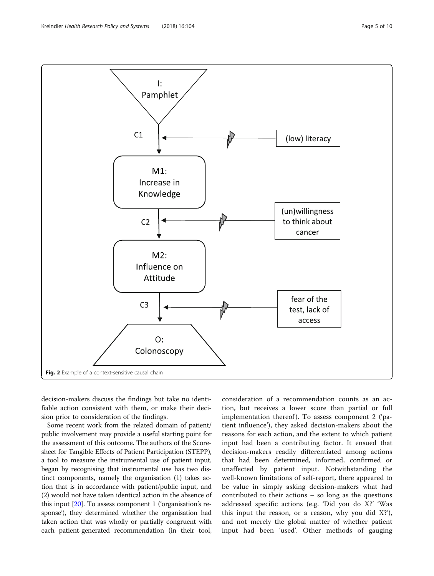decision-makers discuss the findings but take no identifiable action consistent with them, or make their decision prior to consideration of the findings.

Some recent work from the related domain of patient/ public involvement may provide a useful starting point for the assessment of this outcome. The authors of the Scoresheet for Tangible Effects of Patient Participation (STEPP), a tool to measure the instrumental use of patient input, began by recognising that instrumental use has two distinct components, namely the organisation (1) takes action that is in accordance with patient/public input, and (2) would not have taken identical action in the absence of this input [[20](#page-9-0)]. To assess component 1 ('organisation's response'), they determined whether the organisation had taken action that was wholly or partially congruent with each patient-generated recommendation (in their tool,

consideration of a recommendation counts as an action, but receives a lower score than partial or full implementation thereof). To assess component 2 ('patient influence'), they asked decision-makers about the reasons for each action, and the extent to which patient input had been a contributing factor. It ensued that decision-makers readily differentiated among actions that had been determined, informed, confirmed or unaffected by patient input. Notwithstanding the well-known limitations of self-report, there appeared to be value in simply asking decision-makers what had contributed to their actions – so long as the questions addressed specific actions (e.g. 'Did you do X?' 'Was this input the reason, or a reason, why you did X?'), and not merely the global matter of whether patient input had been 'used'. Other methods of gauging

(low) literacy



<span id="page-4-0"></span> $\mathbf{E}$ Pamphlet

 $C1$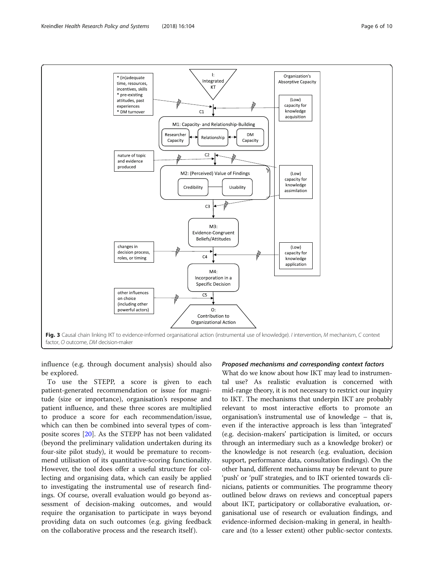<span id="page-5-0"></span>

influence (e.g. through document analysis) should also be explored.

To use the STEPP, a score is given to each patient-generated recommendation or issue for magnitude (size or importance), organisation's response and patient influence, and these three scores are multiplied to produce a score for each recommendation/issue, which can then be combined into several types of composite scores [\[20](#page-9-0)]. As the STEPP has not been validated (beyond the preliminary validation undertaken during its four-site pilot study), it would be premature to recommend utilisation of its quantitative-scoring functionality. However, the tool does offer a useful structure for collecting and organising data, which can easily be applied to investigating the instrumental use of research findings. Of course, overall evaluation would go beyond assessment of decision-making outcomes, and would require the organisation to participate in ways beyond providing data on such outcomes (e.g. giving feedback on the collaborative process and the research itself ).

## Proposed mechanisms and corresponding context factors

What do we know about how IKT may lead to instrumental use? As realistic evaluation is concerned with mid-range theory, it is not necessary to restrict our inquiry to IKT. The mechanisms that underpin IKT are probably relevant to most interactive efforts to promote an organisation's instrumental use of knowledge – that is, even if the interactive approach is less than 'integrated' (e.g. decision-makers' participation is limited, or occurs through an intermediary such as a knowledge broker) or the knowledge is not research (e.g. evaluation, decision support, performance data, consultation findings). On the other hand, different mechanisms may be relevant to pure 'push' or 'pull' strategies, and to IKT oriented towards clinicians, patients or communities. The programme theory outlined below draws on reviews and conceptual papers about IKT, participatory or collaborative evaluation, organisational use of research or evaluation findings, and evidence-informed decision-making in general, in healthcare and (to a lesser extent) other public-sector contexts.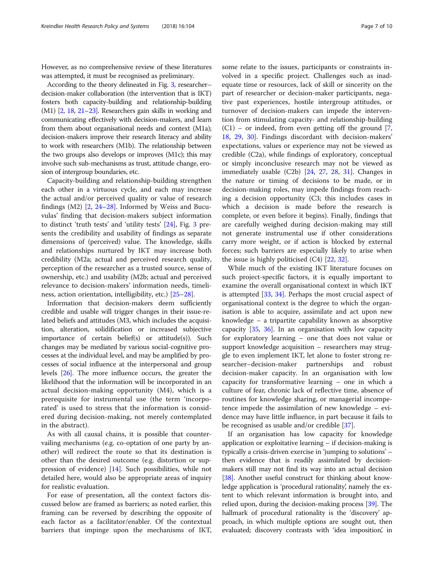However, as no comprehensive review of these literatures was attempted, it must be recognised as preliminary.

According to the theory delineated in Fig. [3](#page-5-0), researcher– decision-maker collaboration (the intervention that is IKT) fosters both capacity-building and relationship-building (M1) [\[2](#page-8-0), [18,](#page-9-0) [21](#page-9-0)–[23](#page-9-0)]. Researchers gain skills in working and communicating effectively with decision-makers, and learn from them about organisational needs and context (M1a); decision-makers improve their research literacy and ability to work with researchers (M1b). The relationship between the two groups also develops or improves (M1c); this may involve such sub-mechanisms as trust, attitude change, erosion of intergroup boundaries, etc.

Capacity-building and relationship-building strengthen each other in a virtuous cycle, and each may increase the actual and/or perceived quality or value of research findings  $(M2)$   $[2, 24-28]$  $[2, 24-28]$  $[2, 24-28]$  $[2, 24-28]$  $[2, 24-28]$  $[2, 24-28]$ . Informed by Weiss and Bucuvulas' finding that decision-makers subject information to distinct 'truth tests' and 'utility tests' [[24\]](#page-9-0), Fig. [3](#page-5-0) presents the credibility and usability of findings as separate dimensions of (perceived) value. The knowledge, skills and relationships nurtured by IKT may increase both credibility (M2a; actual and perceived research quality, perception of the researcher as a trusted source, sense of ownership, etc.) and usability (M2b; actual and perceived relevance to decision-makers' information needs, timeliness, action orientation, intelligibility, etc.) [[25](#page-9-0)–[28](#page-9-0)].

Information that decision-makers deem sufficiently credible and usable will trigger changes in their issue-related beliefs and attitudes (M3, which includes the acquisition, alteration, solidification or increased subjective importance of certain belief(s) or attitude(s)). Such changes may be mediated by various social-cognitive processes at the individual level, and may be amplified by processes of social influence at the interpersonal and group levels [\[26](#page-9-0)]. The more influence occurs, the greater the likelihood that the information will be incorporated in an actual decision-making opportunity (M4), which is a prerequisite for instrumental use (the term 'incorporated' is used to stress that the information is considered during decision-making, not merely contemplated in the abstract).

As with all causal chains, it is possible that countervailing mechanisms (e.g. co-optation of one party by another) will redirect the route so that its destination is other than the desired outcome (e.g. distortion or suppression of evidence) [\[14](#page-9-0)]. Such possibilities, while not detailed here, would also be appropriate areas of inquiry for realistic evaluation.

For ease of presentation, all the context factors discussed below are framed as barriers; as noted earlier, this framing can be reversed by describing the opposite of each factor as a facilitator/enabler. Of the contextual barriers that impinge upon the mechanisms of IKT, some relate to the issues, participants or constraints involved in a specific project. Challenges such as inadequate time or resources, lack of skill or sincerity on the part of researcher or decision-maker participants, negative past experiences, hostile intergroup attitudes, or turnover of decision-makers can impede the intervention from stimulating capacity- and relationship-building  $(C1)$  – or indeed, from even getting off the ground [\[7](#page-9-0), [18,](#page-9-0) [29,](#page-9-0) [30\]](#page-9-0). Findings discordant with decision-makers' expectations, values or experience may not be viewed as credible (C2a), while findings of exploratory, conceptual or simply inconclusive research may not be viewed as immediately usable (C2b) [[24,](#page-9-0) [27](#page-9-0), [28](#page-9-0), [31](#page-9-0)]. Changes in the nature or timing of decisions to be made, or in decision-making roles, may impede findings from reaching a decision opportunity (C3; this includes cases in which a decision is made before the research is complete, or even before it begins). Finally, findings that are carefully weighed during decision-making may still not generate instrumental use if other considerations carry more weight, or if action is blocked by external forces; such barriers are especially likely to arise when the issue is highly politicised  $(C4)$   $[22, 32]$  $[22, 32]$  $[22, 32]$  $[22, 32]$ .

While much of the existing IKT literature focuses on such project-specific factors, it is equally important to examine the overall organisational context in which IKT is attempted [\[33,](#page-9-0) [34](#page-9-0)]. Perhaps the most crucial aspect of organisational context is the degree to which the organisation is able to acquire, assimilate and act upon new knowledge – a tripartite capability known as absorptive capacity [\[35](#page-9-0), [36\]](#page-9-0). In an organisation with low capacity for exploratory learning – one that does not value or support knowledge acquisition – researchers may struggle to even implement IKT, let alone to foster strong researcher–decision-maker partnerships and robust decision-maker capacity. In an organisation with low capacity for transformative learning – one in which a culture of fear, chronic lack of reflective time, absence of routines for knowledge sharing, or managerial incompetence impede the assimilation of new knowledge – evidence may have little influence, in part because it fails to be recognised as usable and/or credible [\[37](#page-9-0)].

If an organisation has low capacity for knowledge application or exploitative learning – if decision-making is typically a crisis-driven exercise in 'jumping to solutions' – then evidence that is readily assimilated by decisionmakers still may not find its way into an actual decision [[38](#page-9-0)]. Another useful construct for thinking about knowledge application is 'procedural rationality', namely the extent to which relevant information is brought into, and relied upon, during the decision-making process [\[39\]](#page-9-0). The hallmark of procedural rationality is the 'discovery' approach, in which multiple options are sought out, then evaluated; discovery contrasts with 'idea imposition', in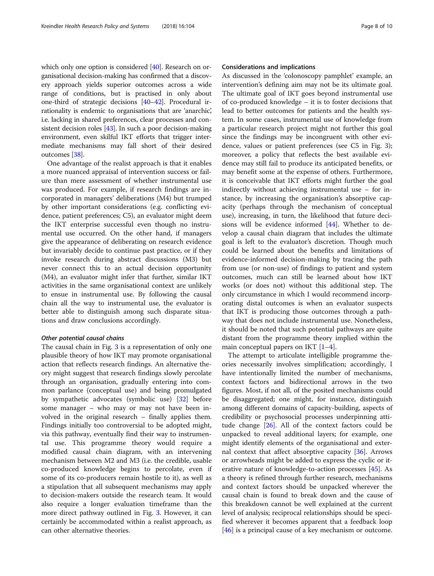which only one option is considered [[40](#page-9-0)]. Research on organisational decision-making has confirmed that a discovery approach yields superior outcomes across a wide range of conditions, but is practised in only about one-third of strategic decisions [[40](#page-9-0)–[42\]](#page-9-0). Procedural irrationality is endemic to organisations that are 'anarchic', i.e. lacking in shared preferences, clear processes and consistent decision roles [[43](#page-9-0)]. In such a poor decision-making environment, even skilful IKT efforts that trigger intermediate mechanisms may fall short of their desired outcomes [\[38\]](#page-9-0).

One advantage of the realist approach is that it enables a more nuanced appraisal of intervention success or failure than mere assessment of whether instrumental use was produced. For example, if research findings are incorporated in managers' deliberations (M4) but trumped by other important considerations (e.g. conflicting evidence, patient preferences; C5), an evaluator might deem the IKT enterprise successful even though no instrumental use occurred. On the other hand, if managers give the appearance of deliberating on research evidence but invariably decide to continue past practice, or if they invoke research during abstract discussions (M3) but never connect this to an actual decision opportunity (M4), an evaluator might infer that further, similar IKT activities in the same organisational context are unlikely to ensue in instrumental use. By following the causal chain all the way to instrumental use, the evaluator is better able to distinguish among such disparate situations and draw conclusions accordingly.

### Other potential causal chains

The causal chain in Fig. [3](#page-5-0) is a representation of only one plausible theory of how IKT may promote organisational action that reflects research findings. An alternative theory might suggest that research findings slowly percolate through an organisation, gradually entering into common parlance (conceptual use) and being promulgated by sympathetic advocates (symbolic use) [[32](#page-9-0)] before some manager – who may or may not have been involved in the original research – finally applies them. Findings initially too controversial to be adopted might, via this pathway, eventually find their way to instrumental use. This programme theory would require a modified causal chain diagram, with an intervening mechanism between M2 and M3 (i.e. the credible, usable co-produced knowledge begins to percolate, even if some of its co-producers remain hostile to it), as well as a stipulation that all subsequent mechanisms may apply to decision-makers outside the research team. It would also require a longer evaluation timeframe than the more direct pathway outlined in Fig. [3](#page-5-0). However, it can certainly be accommodated within a realist approach, as can other alternative theories.

## Considerations and implications

As discussed in the 'colonoscopy pamphlet' example, an intervention's defining aim may not be its ultimate goal. The ultimate goal of IKT goes beyond instrumental use of co-produced knowledge – it is to foster decisions that lead to better outcomes for patients and the health system. In some cases, instrumental use of knowledge from a particular research project might not further this goal since the findings may be incongruent with other evidence, values or patient preferences (see C5 in Fig. [3](#page-5-0)); moreover, a policy that reflects the best available evidence may still fail to produce its anticipated benefits, or may benefit some at the expense of others. Furthermore, it is conceivable that IKT efforts might further the goal indirectly without achieving instrumental use – for instance, by increasing the organisation's absorptive capacity (perhaps through the mechanism of conceptual use), increasing, in turn, the likelihood that future decisions will be evidence informed [[44](#page-9-0)]. Whether to develop a causal chain diagram that includes the ultimate goal is left to the evaluator's discretion. Though much could be learned about the benefits and limitations of evidence-informed decision-making by tracing the path from use (or non-use) of findings to patient and system outcomes, much can still be learned about how IKT works (or does not) without this additional step. The only circumstance in which I would recommend incorporating distal outcomes is when an evaluator suspects that IKT is producing those outcomes through a pathway that does not include instrumental use. Nonetheless, it should be noted that such potential pathways are quite distant from the programme theory implied within the main conceptual papers on IKT [\[1](#page-8-0)–[4\]](#page-9-0).

The attempt to articulate intelligible programme theories necessarily involves simplification; accordingly, I have intentionally limited the number of mechanisms, context factors and bidirectional arrows in the two figures. Most, if not all, of the posited mechanisms could be disaggregated; one might, for instance, distinguish among different domains of capacity-building, aspects of credibility or psychosocial processes underpinning attitude change  $[26]$  $[26]$ . All of the context factors could be unpacked to reveal additional layers; for example, one might identify elements of the organisational and external context that affect absorptive capacity [\[36](#page-9-0)]. Arrows or arrowheads might be added to express the cyclic or iterative nature of knowledge-to-action processes [\[45\]](#page-9-0). As a theory is refined through further research, mechanisms and context factors should be unpacked wherever the causal chain is found to break down and the cause of this breakdown cannot be well explained at the current level of analysis; reciprocal relationships should be specified wherever it becomes apparent that a feedback loop [[46\]](#page-9-0) is a principal cause of a key mechanism or outcome.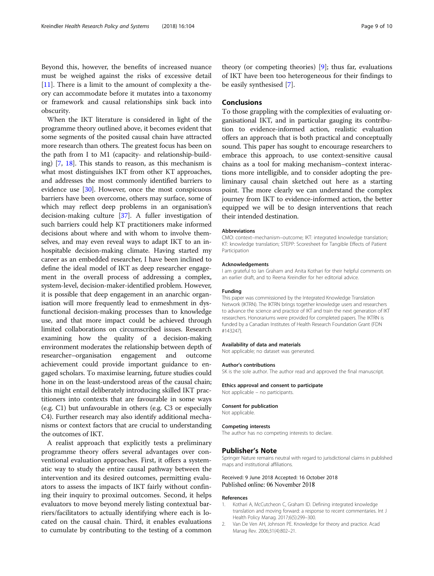<span id="page-8-0"></span>Beyond this, however, the benefits of increased nuance must be weighed against the risks of excessive detail [[11\]](#page-9-0). There is a limit to the amount of complexity a theory can accommodate before it mutates into a taxonomy or framework and causal relationships sink back into obscurity.

When the IKT literature is considered in light of the programme theory outlined above, it becomes evident that some segments of the posited causal chain have attracted more research than others. The greatest focus has been on the path from I to M1 (capacity- and relationship-building) [\[7](#page-9-0), [18\]](#page-9-0). This stands to reason, as this mechanism is what most distinguishes IKT from other KT approaches, and addresses the most commonly identified barriers to evidence use [\[30\]](#page-9-0). However, once the most conspicuous barriers have been overcome, others may surface, some of which may reflect deep problems in an organisation's decision-making culture [[37](#page-9-0)]. A fuller investigation of such barriers could help KT practitioners make informed decisions about where and with whom to involve themselves, and may even reveal ways to adapt IKT to an inhospitable decision-making climate. Having started my career as an embedded researcher, I have been inclined to define the ideal model of IKT as deep researcher engagement in the overall process of addressing a complex, system-level, decision-maker-identified problem. However, it is possible that deep engagement in an anarchic organisation will more frequently lead to enmeshment in dysfunctional decision-making processes than to knowledge use, and that more impact could be achieved through limited collaborations on circumscribed issues. Research examining how the quality of a decision-making environment moderates the relationship between depth of researcher–organisation engagement and outcome achievement could provide important guidance to engaged scholars. To maximise learning, future studies could hone in on the least-understood areas of the causal chain; this might entail deliberately introducing skilled IKT practitioners into contexts that are favourable in some ways (e.g. C1) but unfavourable in others (e.g. C3 or especially C4). Further research may also identify additional mechanisms or context factors that are crucial to understanding the outcomes of IKT.

A realist approach that explicitly tests a preliminary programme theory offers several advantages over conventional evaluation approaches. First, it offers a systematic way to study the entire causal pathway between the intervention and its desired outcomes, permitting evaluators to assess the impacts of IKT fairly without confining their inquiry to proximal outcomes. Second, it helps evaluators to move beyond merely listing contextual barriers/facilitators to actually identifying where each is located on the causal chain. Third, it enables evaluations to cumulate by contributing to the testing of a common

theory (or competing theories) [[9\]](#page-9-0); thus far, evaluations of IKT have been too heterogeneous for their findings to be easily synthesised [[7\]](#page-9-0).

# Conclusions

To those grappling with the complexities of evaluating organisational IKT, and in particular gauging its contribution to evidence-informed action, realistic evaluation offers an approach that is both practical and conceptually sound. This paper has sought to encourage researchers to embrace this approach, to use context-sensitive causal chains as a tool for making mechanism–context interactions more intelligible, and to consider adopting the preliminary causal chain sketched out here as a starting point. The more clearly we can understand the complex journey from IKT to evidence-informed action, the better equipped we will be to design interventions that reach their intended destination.

#### Abbreviations

CMO: context–mechanism–outcome; IKT: integrated knowledge translation; KT: knowledge translation; STEPP: Scoresheet for Tangible Effects of Patient Participation

#### Acknowledgements

I am grateful to Ian Graham and Anita Kothari for their helpful comments on an earlier draft, and to Reena Kreindler for her editorial advice.

#### Funding

This paper was commissioned by the Integrated Knowledge Translation Network (IKTRN). The IKTRN brings together knowledge users and researchers to advance the science and practice of IKT and train the next generation of IKT researchers. Honorariums were provided for completed papers. The IKTRN is funded by a Canadian Institutes of Health Research Foundation Grant (FDN #143247).

#### Availability of data and materials

Not applicable; no dataset was generated.

#### Author's contributions

SK is the sole author. The author read and approved the final manuscript.

#### Ethics approval and consent to participate

Not applicable – no participants.

#### Consent for publication

Not applicable.

#### Competing interests

The author has no competing interests to declare.

#### Publisher's Note

Springer Nature remains neutral with regard to jurisdictional claims in published maps and institutional affiliations.

## Received: 9 June 2018 Accepted: 16 October 2018 Published online: 06 November 2018

#### References

- 1. Kothari A, McCutcheon C, Graham ID. Defining integrated knowledge translation and moving forward: a response to recent commentaries. Int J Health Policy Manag. 2017;6(5):299–300.
- 2. Van De Ven AH, Johnson PE. Knowledge for theory and practice. Acad Manag Rev. 2006;31(4):802–21.